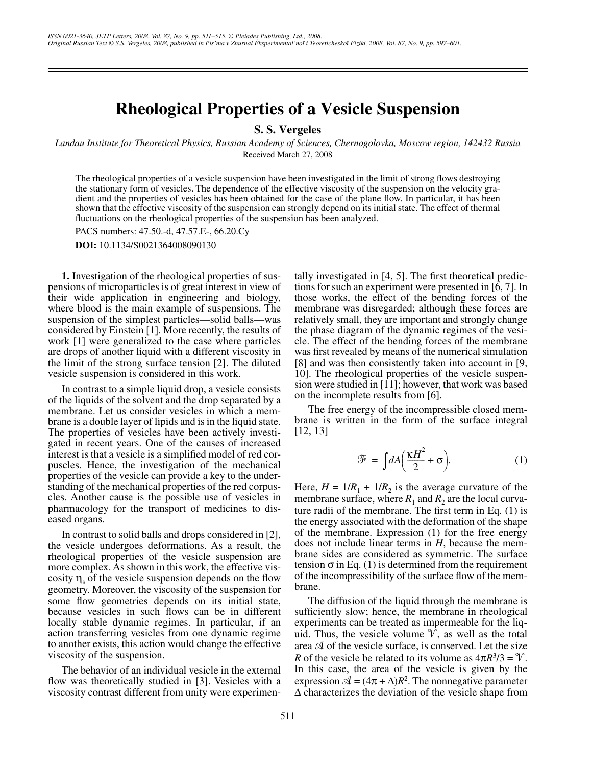## **Rheological Properties of a Vesicle Suspension**

**S. S. Vergeles**

*Landau Institute for Theoretical Physics, Russian Academy of Sciences, Chernogolovka, Moscow region, 142432 Russia* Received March 27, 2008

The rheological properties of a vesicle suspension have been investigated in the limit of strong flows destroying the stationary form of vesicles. The dependence of the effective viscosity of the suspension on the velocity gradient and the properties of vesicles has been obtained for the case of the plane flow. In particular, it has been shown that the effective viscosity of the suspension can strongly depend on its initial state. The effect of thermal fluctuations on the rheological properties of the suspension has been analyzed.

PACS numbers: 47.50.-d, 47.57.E-, 66.20.Cy

**DOI:** 10.1134/S0021364008090130

**1.** Investigation of the rheological properties of suspensions of microparticles is of great interest in view of their wide application in engineering and biology, where blood is the main example of suspensions. The suspension of the simplest particles—solid balls—was considered by Einstein [1]. More recently, the results of work [1] were generalized to the case where particles are drops of another liquid with a different viscosity in the limit of the strong surface tension [2]. The diluted vesicle suspension is considered in this work.

In contrast to a simple liquid drop, a vesicle consists of the liquids of the solvent and the drop separated by a membrane. Let us consider vesicles in which a membrane is a double layer of lipids and is in the liquid state. The properties of vesicles have been actively investigated in recent years. One of the causes of increased interest is that a vesicle is a simplified model of red corpuscles. Hence, the investigation of the mechanical properties of the vesicle can provide a key to the understanding of the mechanical properties of the red corpuscles. Another cause is the possible use of vesicles in pharmacology for the transport of medicines to diseased organs.

In contrast to solid balls and drops considered in [2], the vesicle undergoes deformations. As a result, the rheological properties of the vesicle suspension are more complex. As shown in this work, the effective viscosity  $\eta_s$  of the vesicle suspension depends on the flow geometry. Moreover, the viscosity of the suspension for some flow geometries depends on its initial state, because vesicles in such flows can be in different locally stable dynamic regimes. In particular, if an action transferring vesicles from one dynamic regime to another exists, this action would change the effective viscosity of the suspension.

The behavior of an individual vesicle in the external flow was theoretically studied in [3]. Vesicles with a viscosity contrast different from unity were experimentally investigated in [4, 5]. The first theoretical predictions for such an experiment were presented in  $[6, 7]$ . In those works, the effect of the bending forces of the membrane was disregarded; although these forces are relatively small, they are important and strongly change the phase diagram of the dynamic regimes of the vesicle. The effect of the bending forces of the membrane was first revealed by means of the numerical simulation [8] and was then consistently taken into account in [9, 10]. The rheological properties of the vesicle suspension were studied in [11]; however, that work was based on the incomplete results from [6].

The free energy of the incompressible closed membrane is written in the form of the surface integral [12, 13]

$$
\mathcal{F} = \int dA \left( \frac{\kappa H^2}{2} + \sigma \right). \tag{1}
$$

Here,  $H = 1/R_1 + 1/R_2$  is the average curvature of the membrane surface, where  $R_1$  and  $R_2$  are the local curvature radii of the membrane. The first term in Eq. (1) is the energy associated with the deformation of the shape of the membrane. Expression (1) for the free energy does not include linear terms in *H*, because the membrane sides are considered as symmetric. The surface tension  $\sigma$  in Eq. (1) is determined from the requirement of the incompressibility of the surface flow of the membrane.

The diffusion of the liquid through the membrane is sufficiently slow; hence, the membrane in rheological experiments can be treated as impermeable for the liquid. Thus, the vesicle volume  $\mathcal{V}$ , as well as the total area  $A$  of the vesicle surface, is conserved. Let the size *R* of the vesicle be related to its volume as  $4\pi R^3/3 = \mathcal{V}$ . In this case, the area of the vesicle is given by the expression  $\mathcal{A} = (4\pi + \Delta)R^2$ . The nonnegative parameter ∆ characterizes the deviation of the vesicle shape from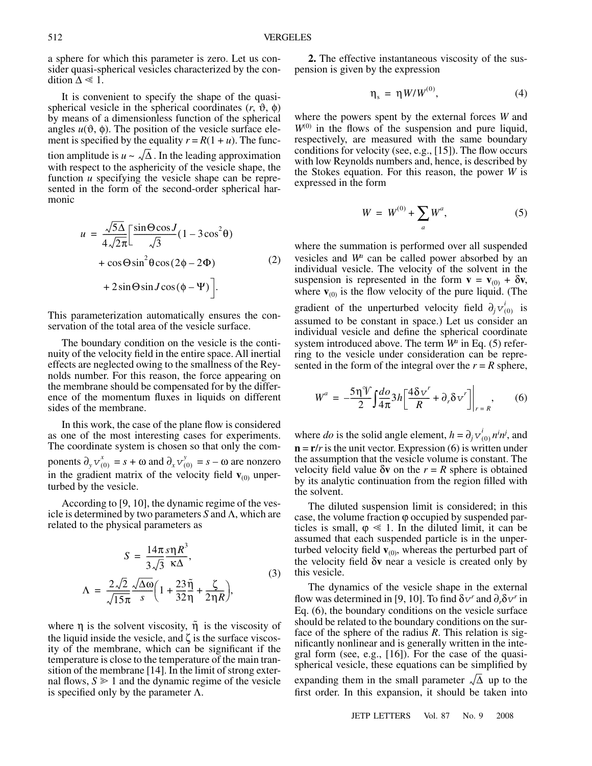a sphere for which this parameter is zero. Let us consider quasi-spherical vesicles characterized by the condition  $\Delta \ll 1$ .

It is convenient to specify the shape of the quasispherical vesicle in the spherical coordinates  $(r, \vartheta, \varphi)$ by means of a dimensionless function of the spherical angles  $u(\vartheta, \varphi)$ . The position of the vesicle surface element is specified by the equality  $r = R(1 + u)$ . The function amplitude is  $u \sim \sqrt{\Delta}$ . In the leading approximation with respect to the asphericity of the vesicle shape, the function *u* specifying the vesicle shape can be represented in the form of the second-order spherical harmonic

$$
u = \frac{\sqrt{5\Delta}}{4\sqrt{2\pi}} \left[ \frac{\sin\Theta\cos J}{\sqrt{3}} (1 - 3\cos^2\theta) + \cos\Theta\sin^2\theta\cos(2\phi - 2\Phi) + 2\sin\Theta\sin J\cos(\phi - \Psi) \right].
$$
 (2)

This parameterization automatically ensures the conservation of the total area of the vesicle surface.

The boundary condition on the vesicle is the continuity of the velocity field in the entire space. All inertial effects are neglected owing to the smallness of the Reynolds number. For this reason, the force appearing on the membrane should be compensated for by the difference of the momentum fluxes in liquids on different sides of the membrane.

In this work, the case of the plane flow is considered as one of the most interesting cases for experiments. The coordinate system is chosen so that only the com- $\text{ponents } \partial_y v_{(0)}^x = s + \omega \text{ and } \partial_x v_{(0)}^y = s - \omega \text{ are nonzero}$ in the gradient matrix of the velocity field  $\mathbf{v}_{(0)}$  unperturbed by the vesicle.

According to [9, 10], the dynamic regime of the vesicle is determined by two parameters *S* and Λ, which are related to the physical parameters as

$$
S = \frac{14\pi}{3\sqrt{3}} \frac{s\eta R^3}{\kappa \Delta},
$$
  

$$
\Lambda = \frac{2\sqrt{2}}{\sqrt{15\pi}} \frac{\sqrt{\Delta\omega}}{s} \left(1 + \frac{23}{32}\frac{\tilde{\eta}}{\eta} + \frac{\zeta}{2\eta R}\right),
$$
 (3)

where  $\eta$  is the solvent viscosity,  $\tilde{\eta}$  is the viscosity of the liquid inside the vesicle, and  $\zeta$  is the surface viscosity of the membrane, which can be significant if the temperature is close to the temperature of the main transition of the membrane [14]. In the limit of strong external flows,  $S \geq 1$  and the dynamic regime of the vesicle is specified only by the parameter  $Λ$ .

**2.** The effective instantaneous viscosity of the suspension is given by the expression

$$
\eta_s = \eta W / W^{(0)}, \tag{4}
$$

where the powers spent by the external forces *W* and  $W^{(0)}$  in the flows of the suspension and pure liquid, respectively, are measured with the same boundary conditions for velocity (see, e.g., [15]). The flow occurs with low Reynolds numbers and, hence, is described by the Stokes equation. For this reason, the power *W* is expressed in the form

$$
W = W^{(0)} + \sum_{a} W^{a}, \qquad (5)
$$

where the summation is performed over all suspended vesicles and  $W^u$  can be called power absorbed by an individual vesicle. The velocity of the solvent in the suspension is represented in the form  $\mathbf{v} = \mathbf{v}_{(0)} + \delta \mathbf{v}$ , where  $\mathbf{v}_{(0)}$  is the flow velocity of the pure liquid. (The gradient of the unperturbed velocity field  $\partial_j v_{(0)}^i$  is assumed to be constant in space.) Let us consider an individual vesicle and define the spherical coordinate system introduced above. The term  $W^u$  in Eq. (5) referring to the vesicle under consideration can be represented in the form of the integral over the  $r = R$  sphere,

$$
W^{a} = -\frac{5\eta^{\mathcal{V}}}{2} \int \frac{d\omega}{4\pi} 3h \left[ \frac{4\delta v^r}{R} + \partial_r \delta v^r \right] \bigg|_{r=R}, \qquad (6)
$$

where *do* is the solid angle element,  $h = \partial_j v^i_{(0)} n^i n^j$ , and  $\mathbf{n} = \mathbf{r}/r$  is the unit vector. Expression (6) is written under the assumption that the vesicle volume is constant. The velocity field value  $\delta v$  on the  $r = R$  sphere is obtained by its analytic continuation from the region filled with the solvent.

The diluted suspension limit is considered; in this case, the volume fraction ϕ occupied by suspended particles is small,  $\varphi \ll 1$ . In the diluted limit, it can be assumed that each suspended particle is in the unperturbed velocity field  $\mathbf{v}_{(0)}$ , whereas the perturbed part of the velocity field δ**v** near a vesicle is created only by this vesicle.

The dynamics of the vesicle shape in the external flow was determined in [9, 10]. To find  $\delta v^r$  and  $\partial_r \delta v^r$  in Eq. (6), the boundary conditions on the vesicle surface should be related to the boundary conditions on the surface of the sphere of the radius *R*. This relation is significantly nonlinear and is generally written in the integral form (see, e.g., [16]). For the case of the quasispherical vesicle, these equations can be simplified by expanding them in the small parameter  $\sqrt{\Delta}$  up to the first order. In this expansion, it should be taken into

JETP LETTERS Vol. 87 No. 9 2008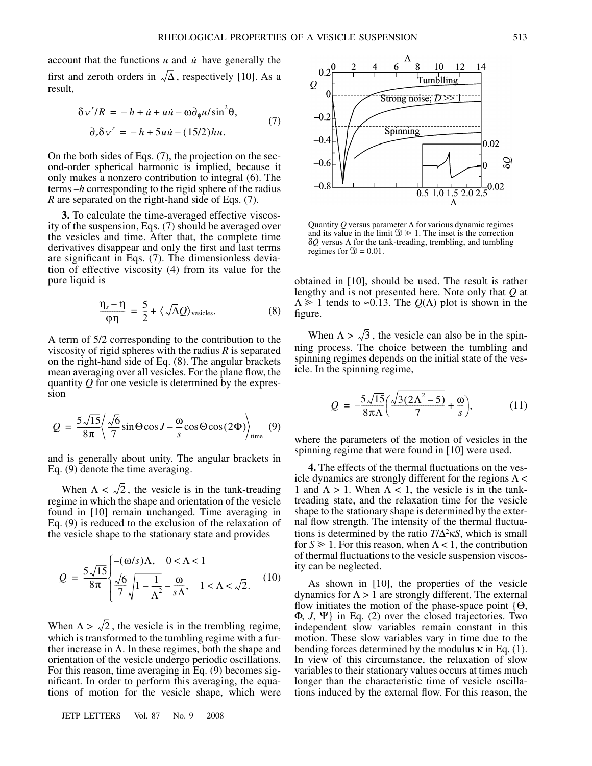account that the functions  $u$  and  $\dot{u}$  have generally the first and zeroth orders in  $\sqrt{\Delta}$ , respectively [10]. As a result,

$$
\delta v^r/R = -h + \dot{u} + u\dot{u} - \omega \partial_{\phi} u/\sin^2 \theta,
$$
  
\n
$$
\partial_r \delta v^r = -h + 5u\dot{u} - (15/2)hu.
$$
\n(7)

On the both sides of Eqs. (7), the projection on the second-order spherical harmonic is implied, because it only makes a nonzero contribution to integral (6). The terms –*h* corresponding to the rigid sphere of the radius *R* are separated on the right-hand side of Eqs. (7).

**3.** To calculate the time-averaged effective viscosity of the suspension, Eqs. (7) should be averaged over the vesicles and time. After that, the complete time derivatives disappear and only the first and last terms are significant in Eqs. (7). The dimensionless deviation of effective viscosity (4) from its value for the pure liquid is

$$
\frac{\eta_s - \eta}{\varphi \eta} = \frac{5}{2} + \langle \sqrt{\Delta} Q \rangle_{\text{vesicles}}.
$$
 (8)

A term of 5/2 corresponding to the contribution to the viscosity of rigid spheres with the radius *R* is separated on the right-hand side of Eq. (8). The angular brackets mean averaging over all vesicles. For the plane flow, the quantity *Q* for one vesicle is determined by the expression

$$
Q = \frac{5\sqrt{15}}{8\pi} \left\langle \frac{\sqrt{6}}{7} \sin \Theta \cos J - \frac{\omega}{s} \cos \Theta \cos(2\Phi) \right\rangle_{\text{time}} \quad (9)
$$

and is generally about unity. The angular brackets in Eq. (9) denote the time averaging.

When  $\Lambda < \sqrt{2}$ , the vesicle is in the tank-treading regime in which the shape and orientation of the vesicle found in [10] remain unchanged. Time averaging in Eq. (9) is reduced to the exclusion of the relaxation of the vesicle shape to the stationary state and provides

$$
Q = \frac{5\sqrt{15}}{8\pi} \begin{cases} -(\omega/s)\Lambda, & 0 < \Lambda < 1\\ \frac{\sqrt{6}}{7}\sqrt{1 - \frac{1}{\Lambda^2}} - \frac{\omega}{s\Lambda}, & 1 < \Lambda < \sqrt{2}. \end{cases} \tag{10}
$$

When  $\Lambda > \sqrt{2}$ , the vesicle is in the trembling regime, which is transformed to the tumbling regime with a further increase in  $\Lambda$ . In these regimes, both the shape and orientation of the vesicle undergo periodic oscillations. For this reason, time averaging in Eq. (9) becomes significant. In order to perform this averaging, the equations of motion for the vesicle shape, which were

JETP LETTERS Vol. 87 No. 9 2008



Quantity *Q* versus parameter Λ for various dynamic regimes and its value in the limit  $\mathcal{D} \geq 1$ . The inset is the correction δ*Q* versus Λ for the tank-treading, trembling, and tumbling regimes for  $\mathcal{D} = 0.01$ .

obtained in [10], should be used. The result is rather lengthy and is not presented here. Note only that *Q* at  $\Lambda \geq 1$  tends to  $\approx 0.13$ . The  $Q(\Lambda)$  plot is shown in the figure.

When  $\Lambda > \sqrt{3}$ , the vesicle can also be in the spinning process. The choice between the tumbling and spinning regimes depends on the initial state of the vesicle. In the spinning regime,

$$
Q = -\frac{5\sqrt{15}}{8\pi\Lambda} \left( \frac{\sqrt{3(2\Lambda^2 - 5)}}{7} + \frac{\omega}{s} \right),
$$
 (11)

where the parameters of the motion of vesicles in the spinning regime that were found in [10] were used.

**4.** The effects of the thermal fluctuations on the vesicle dynamics are strongly different for the regions  $\Lambda$  < 1 and  $\Lambda > 1$ . When  $\Lambda < 1$ , the vesicle is in the tanktreading state, and the relaxation time for the vesicle shape to the stationary shape is determined by the external flow strength. The intensity of the thermal fluctuations is determined by the ratio *T*/∆<sup>2</sup> κ*S*, which is small for  $S \geq 1$ . For this reason, when  $\Lambda < 1$ , the contribution of thermal fluctuations to the vesicle suspension viscosity can be neglected.

As shown in [10], the properties of the vesicle dynamics for  $\Lambda > 1$  are strongly different. The external flow initiates the motion of the phase-space point  ${Θ,$ Φ, *J*, Ψ} in Eq. (2) over the closed trajectories. Two independent slow variables remain constant in this motion. These slow variables vary in time due to the bending forces determined by the modulus  $\kappa$  in Eq. (1). In view of this circumstance, the relaxation of slow variables to their stationary values occurs at times much longer than the characteristic time of vesicle oscillations induced by the external flow. For this reason, the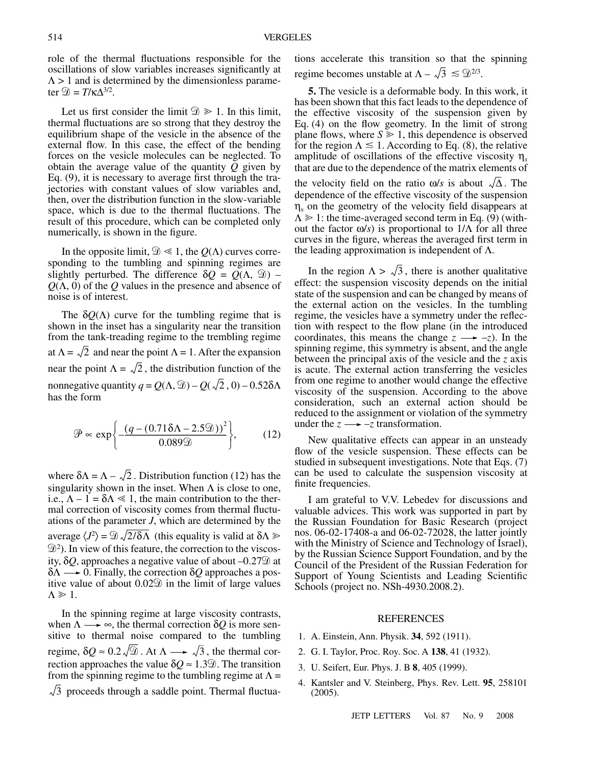role of the thermal fluctuations responsible for the oscillations of slow variables increases significantly at  $\Lambda$  > 1 and is determined by the dimensionless parameter  $\mathcal{D} = T/\kappa \Lambda^{3/2}$ .

Let us first consider the limit  $\mathcal{D} \geq 1$ . In this limit, thermal fluctuations are so strong that they destroy the equilibrium shape of the vesicle in the absence of the external flow. In this case, the effect of the bending forces on the vesicle molecules can be neglected. To obtain the average value of the quantity *Q* given by Eq. (9), it is necessary to average first through the trajectories with constant values of slow variables and, then, over the distribution function in the slow-variable space, which is due to the thermal fluctuations. The result of this procedure, which can be completed only numerically, is shown in the figure.

In the opposite limit,  $\mathcal{D} \ll 1$ , the  $Q(\Lambda)$  curves corresponding to the tumbling and spinning regimes are slightly perturbed. The difference  $\delta Q = Q(\Lambda, \mathcal{D})$  – *Q*(Λ, 0) of the *Q* values in the presence and absence of noise is of interest.

The  $\delta O(\Lambda)$  curve for the tumbling regime that is shown in the inset has a singularity near the transition from the tank-treading regime to the trembling regime at  $\Lambda = \sqrt{2}$  and near the point  $\Lambda = 1$ . After the expansion near the point  $\Lambda = \sqrt{2}$ , the distribution function of the nonnegative quantity  $q = Q(\Lambda, \mathcal{D}) - Q(\sqrt{2}, 0) - 0.52\delta\Lambda$ has the form

$$
\mathcal{P} \propto \exp\left\{ -\frac{\left(q - (0.71\delta\Lambda - 2.5\mathcal{D})\right)^2}{0.089\mathcal{D}} \right\},\qquad(12)
$$

where  $\delta \Lambda = \Lambda - \sqrt{2}$ . Distribution function (12) has the singularity shown in the inset. When  $\Lambda$  is close to one, i.e.,  $\Lambda - 1 = \delta \Lambda \ll 1$ , the main contribution to the thermal correction of viscosity comes from thermal fluctuations of the parameter *J*, which are determined by the average  $\langle J^2 \rangle = \mathcal{D} \sqrt{2/\delta\Lambda}$  (this equality is valid at  $\delta\Lambda \gg$ <sup>2</sup> ). In view of this feature, the correction to the viscosity,  $\delta Q$ , approaches a negative value of about  $-0.27\%$  at  $\delta\Lambda \longrightarrow 0$ . Finally, the correction  $\delta Q$  approaches a positive value of about  $0.02\%$  in the limit of large values  $\Lambda \geqslant 1.$ 

In the spinning regime at large viscosity contrasts, when  $\Lambda \longrightarrow \infty$ , the thermal correction  $\delta Q$  is more sensitive to thermal noise compared to the tumbling regime,  $\delta Q \approx 0.2 \sqrt{20}$ . At  $\Lambda \longrightarrow \sqrt{3}$ , the thermal correction approaches the value  $\delta Q \approx 1.3$ . The transition from the spinning regime to the tumbling regime at  $\Lambda$  = 3 proceeds through a saddle point. Thermal fluctuations accelerate this transition so that the spinning regime becomes unstable at  $\Lambda - \sqrt{3} \leq \mathfrak{D}^{2/3}$ .

**5.** The vesicle is a deformable body. In this work, it has been shown that this fact leads to the dependence of the effective viscosity of the suspension given by Eq. (4) on the flow geometry. In the limit of strong plane flows, where  $S \geq 1$ , this dependence is observed for the region  $\Lambda \leq 1$ . According to Eq. (8), the relative amplitude of oscillations of the effective viscosity η*<sup>s</sup>* that are due to the dependence of the matrix elements of the velocity field on the ratio  $\omega/s$  is about  $\sqrt{\Delta}$ . The dependence of the effective viscosity of the suspension  $\eta_s$  on the geometry of the velocity field disappears at  $\Lambda \geq 1$ : the time-averaged second term in Eq. (9) (without the factor ω/*s*) is proportional to 1/Λ for all three curves in the figure, whereas the averaged first term in the leading approximation is independent of  $Λ$ .

In the region  $\Lambda > \sqrt{3}$ , there is another qualitative effect: the suspension viscosity depends on the initial state of the suspension and can be changed by means of the external action on the vesicles. In the tumbling regime, the vesicles have a symmetry under the reflection with respect to the flow plane (in the introduced coordinates, this means the change  $z \rightarrow -z$ ). In the spinning regime, this symmetry is absent, and the angle between the principal axis of the vesicle and the *z* axis is acute. The external action transferring the vesicles from one regime to another would change the effective viscosity of the suspension. According to the above consideration, such an external action should be reduced to the assignment or violation of the symmetry under the  $z \rightarrow -z$  transformation.

New qualitative effects can appear in an unsteady flow of the vesicle suspension. These effects can be studied in subsequent investigations. Note that Eqs. (7) can be used to calculate the suspension viscosity at finite frequencies.

I am grateful to V.V. Lebedev for discussions and valuable advices. This work was supported in part by the Russian Foundation for Basic Research (project nos. 06-02-17408-a and 06-02-72028, the latter jointly with the Ministry of Science and Technology of Israel), by the Russian Science Support Foundation, and by the Council of the President of the Russian Federation for Support of Young Scientists and Leading Scientific Schools (project no. NSh-4930.2008.2).

## **REFERENCES**

- 1. A. Einstein, Ann. Physik. **34**, 592 (1911).
- 2. G. I. Taylor, Proc. Roy. Soc. A **138**, 41 (1932).
- 3. U. Seifert, Eur. Phys. J. B **8**, 405 (1999).
- 4. Kantsler and V. Steinberg, Phys. Rev. Lett. **95**, 258101 (2005).